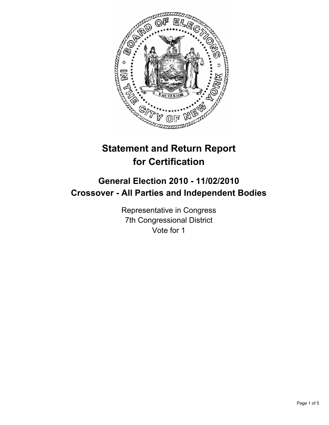

# **Statement and Return Report for Certification**

# **General Election 2010 - 11/02/2010 Crossover - All Parties and Independent Bodies**

Representative in Congress 7th Congressional District Vote for 1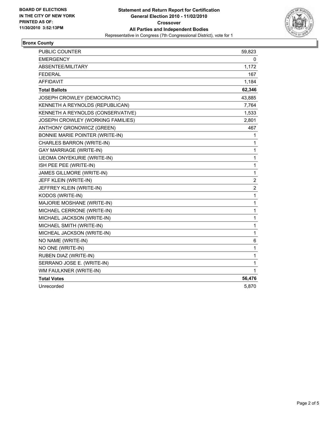

#### **Bronx County**

| PUBLIC COUNTER                    | 59,823         |
|-----------------------------------|----------------|
| <b>EMERGENCY</b>                  | 0              |
| ABSENTEE/MILITARY                 | 1,172          |
| <b>FEDERAL</b>                    | 167            |
| <b>AFFIDAVIT</b>                  | 1,184          |
| <b>Total Ballots</b>              | 62,346         |
| JOSEPH CROWLEY (DEMOCRATIC)       | 43,885         |
| KENNETH A REYNOLDS (REPUBLICAN)   | 7,764          |
| KENNETH A REYNOLDS (CONSERVATIVE) | 1,533          |
| JOSEPH CROWLEY (WORKING FAMILIES) | 2,801          |
| ANTHONY GRONOWICZ (GREEN)         | 467            |
| BONNIE MARIE POINTER (WRITE-IN)   | 1              |
| CHARLES BARRON (WRITE-IN)         | 1              |
| <b>GAY MARRIAGE (WRITE-IN)</b>    | 1              |
| IJEOMA ONYEKURIE (WRITE-IN)       | 1              |
| ISH PEE PEE (WRITE-IN)            | 1              |
| JAMES GILLMORE (WRITE-IN)         | 1              |
| JEFF KLEIN (WRITE-IN)             | $\overline{c}$ |
| JEFFREY KLEIN (WRITE-IN)          | $\overline{c}$ |
| KODOS (WRITE-IN)                  | 1              |
| MAJORIE MOSHANE (WRITE-IN)        | 1              |
| MICHAEL CERRONE (WRITE-IN)        | 1              |
| MICHAEL JACKSON (WRITE-IN)        | 1              |
| MICHAEL SMITH (WRITE-IN)          | 1              |
| MICHEAL JACKSON (WRITE-IN)        | 1              |
| NO NAME (WRITE-IN)                | 6              |
| NO ONE (WRITE-IN)                 | 1              |
| RUBEN DIAZ (WRITE-IN)             | 1              |
| SERRANO JOSE E. (WRITE-IN)        | 1              |
| WM FAULKNER (WRITE-IN)            | 1              |
| <b>Total Votes</b>                | 56,476         |
| Unrecorded                        | 5,870          |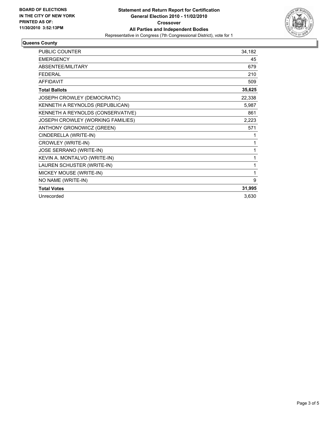

### **Queens County**

| <b>PUBLIC COUNTER</b>             | 34,182 |
|-----------------------------------|--------|
| <b>EMERGENCY</b>                  | 45     |
| ABSENTEE/MILITARY                 | 679    |
| <b>FEDERAL</b>                    | 210    |
| <b>AFFIDAVIT</b>                  | 509    |
| <b>Total Ballots</b>              | 35,625 |
| JOSEPH CROWLEY (DEMOCRATIC)       | 22,338 |
| KENNETH A REYNOLDS (REPUBLICAN)   | 5,987  |
| KENNETH A REYNOLDS (CONSERVATIVE) | 861    |
| JOSEPH CROWLEY (WORKING FAMILIES) | 2,223  |
| ANTHONY GRONOWICZ (GREEN)         | 571    |
| CINDERELLA (WRITE-IN)             | 1      |
| CROWLEY (WRITE-IN)                | 1      |
| <b>JOSE SERRANO (WRITE-IN)</b>    | 1      |
| KEVIN A. MONTALVO (WRITE-IN)      | 1      |
| LAUREN SCHUSTER (WRITE-IN)        | 1      |
| MICKEY MOUSE (WRITE-IN)           | 1      |
| NO NAME (WRITE-IN)                | 9      |
| <b>Total Votes</b>                | 31,995 |
| Unrecorded                        | 3,630  |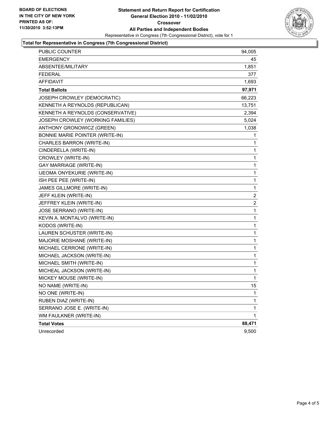

#### **Total for Representative in Congress (7th Congressional District)**

| <b>PUBLIC COUNTER</b>             | 94,005 |
|-----------------------------------|--------|
| <b>EMERGENCY</b>                  | 45     |
| ABSENTEE/MILITARY                 | 1,851  |
| <b>FEDERAL</b>                    | 377    |
| <b>AFFIDAVIT</b>                  | 1,693  |
| <b>Total Ballots</b>              | 97,971 |
| JOSEPH CROWLEY (DEMOCRATIC)       | 66,223 |
| KENNETH A REYNOLDS (REPUBLICAN)   | 13,751 |
| KENNETH A REYNOLDS (CONSERVATIVE) | 2,394  |
| JOSEPH CROWLEY (WORKING FAMILIES) | 5,024  |
| ANTHONY GRONOWICZ (GREEN)         | 1,038  |
| BONNIE MARIE POINTER (WRITE-IN)   | 1      |
| CHARLES BARRON (WRITE-IN)         | 1      |
| CINDERELLA (WRITE-IN)             | 1      |
| CROWLEY (WRITE-IN)                | 1      |
| <b>GAY MARRIAGE (WRITE-IN)</b>    | 1      |
| IJEOMA ONYEKURIE (WRITE-IN)       | 1      |
| ISH PEE PEE (WRITE-IN)            | 1      |
| JAMES GILLMORE (WRITE-IN)         | 1      |
| JEFF KLEIN (WRITE-IN)             | 2      |
| JEFFREY KLEIN (WRITE-IN)          | 2      |
| JOSE SERRANO (WRITE-IN)           | 1      |
| KEVIN A. MONTALVO (WRITE-IN)      | 1      |
| KODOS (WRITE-IN)                  | 1      |
| LAUREN SCHUSTER (WRITE-IN)        | 1      |
| MAJORIE MOSHANE (WRITE-IN)        | 1      |
| MICHAEL CERRONE (WRITE-IN)        | 1      |
| MICHAEL JACKSON (WRITE-IN)        | 1      |
| MICHAEL SMITH (WRITE-IN)          | 1      |
| MICHEAL JACKSON (WRITE-IN)        | 1      |
| MICKEY MOUSE (WRITE-IN)           | 1      |
| NO NAME (WRITE-IN)                | 15     |
| NO ONE (WRITE-IN)                 | 1      |
| RUBEN DIAZ (WRITE-IN)             | 1      |
| SERRANO JOSE E. (WRITE-IN)        | 1      |
| WM FAULKNER (WRITE-IN)            | 1      |
| <b>Total Votes</b>                | 88,471 |
| Unrecorded                        | 9,500  |